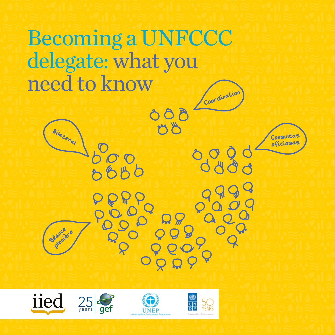# Becoming a UNFCCC delegate: what you need to know **Coordination**

 $600$ 

 $M_{\odot}$ 

Bilateral

Secretare



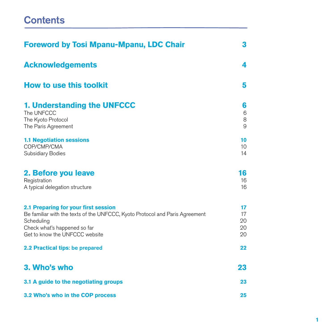## **Contents**

| <b>Foreword by Tosi Mpanu-Mpanu, LDC Chair</b>                                                                                                                                                       | 3                           |
|------------------------------------------------------------------------------------------------------------------------------------------------------------------------------------------------------|-----------------------------|
| <b>Acknowledgements</b>                                                                                                                                                                              | 4                           |
| <b>How to use this toolkit</b>                                                                                                                                                                       | 5                           |
| 1. Understanding the UNFCCC<br>The UNFCCC<br>The Kyoto Protocol<br>The Paris Agreement                                                                                                               | 6<br>6<br>8<br>9            |
| <b>1.1 Negotiation sessions</b><br>COP/CMP/CMA<br>Subsidiary Bodies                                                                                                                                  | 10<br>10 <sup>1</sup><br>14 |
| 2. Before you leave<br>Registration<br>A typical delegation structure                                                                                                                                | 16<br>16<br>16              |
| 2.1 Preparing for your first session<br>Be familiar with the texts of the UNFCCC, Kyoto Protocol and Paris Agreement<br>Scheduling<br>Check what's happened so far<br>Get to know the UNFCCC website | 17<br>17<br>20<br>20<br>20  |
| 2.2 Practical tips: be prepared                                                                                                                                                                      | 22                          |
| 3. Who's who                                                                                                                                                                                         | 23                          |
| 3.1 A guide to the negotiating groups                                                                                                                                                                | 23                          |
| 3.2 Who's who in the COP process                                                                                                                                                                     | 25                          |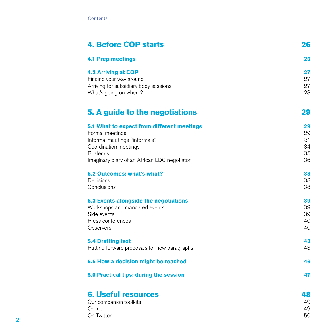| <b>4. Before COP starts</b>                                                                                                                                                                    | 26                               |
|------------------------------------------------------------------------------------------------------------------------------------------------------------------------------------------------|----------------------------------|
| <b>4.1 Prep meetings</b>                                                                                                                                                                       | 26                               |
| <b>4.2 Arriving at COP</b><br>Finding your way around<br>Arriving for subsidiary body sessions<br>What's going on where?                                                                       | 27<br>27<br>27<br>28             |
| 5. A guide to the negotiations                                                                                                                                                                 | 29                               |
| 5.1 What to expect from different meetings<br>Formal meetings<br>Informal meetings ('informals')<br>Coordination meetings<br><b>Bilaterals</b><br>Imaginary diary of an African LDC negotiator | 29<br>29<br>31<br>34<br>35<br>36 |
| 5.2 Outcomes: what's what?<br>Decisions<br>Conclusions                                                                                                                                         | 38<br>38<br>38                   |
| 5.3 Events alongside the negotiations<br>Workshops and mandated events<br>Side events<br>Press conferences<br><b>Observers</b>                                                                 | 39<br>39<br>39<br>40<br>40       |
| <b>5.4 Drafting text</b><br>Putting forward proposals for new paragraphs                                                                                                                       | 43<br>43                         |
| 5.5 How a decision might be reached                                                                                                                                                            | 46                               |
| 5.6 Practical tips: during the session                                                                                                                                                         | 47                               |
| <b>6. Useful resources</b><br>Our companion toolkits<br>Online                                                                                                                                 | 48<br>49<br>49<br>50             |
| On Twitter                                                                                                                                                                                     |                                  |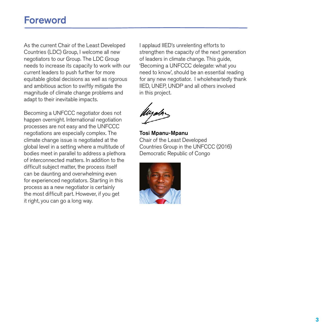## Foreword

As the current Chair of the Least Developed Countries (LDC) Group, I welcome all new negotiators to our Group. The LDC Group needs to increase its capacity to work with our current leaders to push further for more equitable global decisions as well as rigorous and ambitious action to swiftly mitigate the magnitude of climate change problems and adapt to their inevitable impacts.

Becoming a UNFCCC negotiator does not happen overnight. International negotiation processes are not easy and the UNFCCC negotiations are especially complex. The climate change issue is negotiated at the global level in a setting where a multitude of bodies meet in parallel to address a plethora of interconnected matters. In addition to the difficult subject matter, the process itself can be daunting and overwhelming even for experienced negotiators. Starting in this process as a new negotiator is certainly the most difficult part. However, if you get it right, you can go a long way.

I applaud IIED's unrelenting efforts to strengthen the capacity of the next generation of leaders in climate change. This guide, 'Becoming a UNFCCC delegate: what you need to know', should be an essential reading for any new negotiator. I wholeheartedly thank IIED, UNEP, UNDP and all others involved in this project.

Tosi Mpanu-Mpanu Chair of the Least Developed Countries Group in the UNFCCC (2016) Democratic Republic of Congo

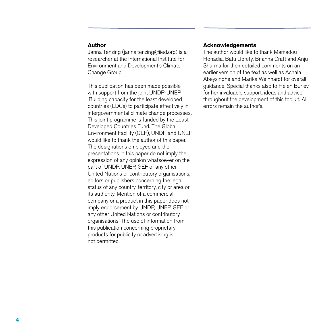#### **Author**

Janna Tenzing (janna.tenzing@iied.org) is a researcher at the International Institute for Environment and Development's Climate Change Group.

This publication has been made possible with support from the joint UNDP-UNEP 'Building capacity for the least developed countries (LDCs) to participate effectively in intergovernmental climate change processes'. This joint programme is funded by the Least Developed Countries Fund. The Global Environment Facility (GEF), UNDP and UNEP would like to thank the author of this paper. The designations employed and the presentations in this paper do not imply the expression of any opinion whatsoever on the part of UNDP, UNEP, GEF or any other United Nations or contributory organisations, editors or publishers concerning the legal status of any country, territory, city or area or its authority. Mention of a commercial company or a product in this paper does not imply endorsement by UNDP, UNEP, GEF or any other United Nations or contributory organisations. The use of information from this publication concerning proprietary products for publicity or advertising is not permitted.

#### **Acknowledgements**

The author would like to thank Mamadou Honadia, Batu Uprety, Brianna Craft and Anju Sharma for their detailed comments on an earlier version of the text as well as Achala Abeysinghe and Marika Weinhardt for overall guidance. Special thanks also to Helen Burley for her invaluable support, ideas and advice throughout the development of this toolkit. All errors remain the author's.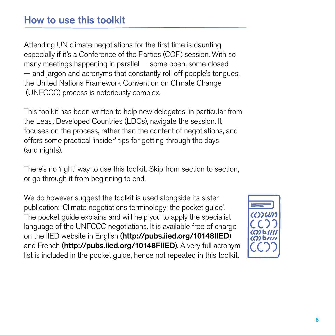Attending UN climate negotiations for the first time is daunting, especially if it's a Conference of the Parties (COP) session. With so many meetings happening in parallel — some open, some closed — and jargon and acronyms that constantly roll off people's tongues, the United Nations Framework Convention on Climate Change (UNFCCC) process is notoriously complex.

This toolkit has been written to help new delegates, in particular from the Least Developed Countries (LDCs), navigate the session. It focuses on the process, rather than the content of negotiations, and offers some practical 'insider' tips for getting through the days (and nights).

There's no 'right' way to use this toolkit. Skip from section to section, or go through it from beginning to end.

We do however suggest the toolkit is used alongside its sister publication: 'Climate negotiations terminology: the pocket guide'. The pocket guide explains and will help you to apply the specialist language of the UNFCCC negotiations. It is available free of charge on the IIED website in English (http://pubs.iied.org/10148IIED) and French (http://pubs.iied.org/10148FIIED). A very full acronym list is included in the pocket guide, hence not repeated in this toolkit.

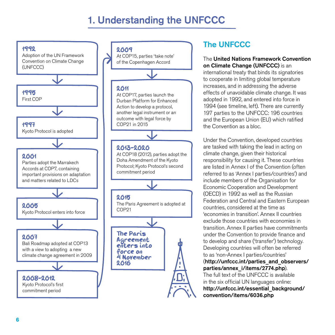## 1. Understanding the UNFCCC



## The UNFCCC

#### The United Nations Framework Convention on Climate Change (UNFCCC) is an

international treaty that binds its signatories to cooperate in limiting global temperature increases, and in addressing the adverse effects of unavoidable climate change. It was adopted in 1992, and entered into force in 1994 (see timeline, left). There are currently 197 parties to the UNFCCC: 196 countries and the European Union (EU) which ratified the Convention as a bloc.

Under the Convention, developed countries are tasked with taking the lead in acting on climate change, given their historical responsibility for causing it. These countries are listed in Annex I of the Convention (often referred to as 'Annex I parties/countries') and include members of the Organisation for Economic Cooperation and Development (OECD) in 1992 as well as the Russian Federation and Central and Eastern European countries, considered at the time as 'economies in transition'. Annex II countries exclude those countries with economies in transition. Annex II parties have commitments under the Convention to provide finance and to develop and share ('transfer') technology. Developing countries will often be referred to as 'non-Annex I parties/countries' (http://unfccc.int/parties\_and\_observers/ parties/annex\_i/items/2774.php). The full text of the UNFCCC is available in the six official UN languages online: http://unfccc.int/essential\_background/

convention/items/6036.php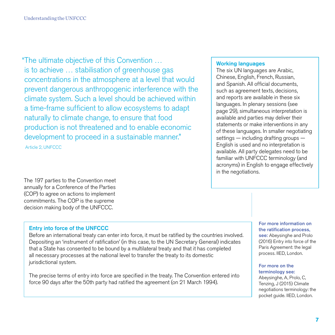"The ultimate objective of this Convention … is to achieve … stabilisation of greenhouse gas concentrations in the atmosphere at a level that would prevent dangerous anthropogenic interference with the climate system. Such a level should be achieved within a time-frame sufficient to allow ecosystems to adapt naturally to climate change, to ensure that food production is not threatened and to enable economic development to proceed in a sustainable manner." Article 2, UNFCCC

The 197 parties to the Convention meet annually for a Conference of the Parties (COP) to agree on actions to implement commitments. The COP is the supreme decision making body of the UNFCCC.

#### Entry into force of the UNFCCC

Before an international treaty can enter into force, it must be ratified by the countries involved. Depositing an 'instrument of ratification' (in this case, to the UN Secretary General) indicates that a State has consented to be bound by a multilateral treaty and that it has completed all necessary processes at the national level to transfer the treaty to its domestic jurisdictional system.

The precise terms of entry into force are specified in the treaty. The Convention entered into force 90 days after the 50th party had ratified the agreement (on 21 March 1994).

#### Working languages

The six UN languages are Arabic, Chinese, English, French, Russian, and Spanish. All official documents, such as agreement texts, decisions, and reports are available in these six languages. In plenary sessions (see page 29), simultaneous interpretation is available and parties may deliver their statements or make interventions in any of these languages. In smaller negotiating settings — including drafting groups — English is used and no interpretation is available. All party delegates need to be familiar with UNFCCC terminology (and acronyms) in English to engage effectively in the negotiations.

> For more information on the ratification process, see: Abeysinghe and Prolo (2016) Entry into force of the Paris Agreement: the legal process. IIED, London.

#### For more on the terminology see:

Abeysinghe, A, Prolo, C, Tenzing, J (2015) Climate negotiations terminology: the pocket guide. IIED, London.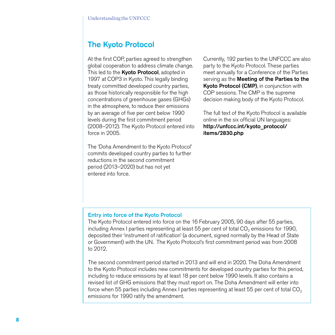## The Kyoto Protocol

At the first COP, parties agreed to strengthen global cooperation to address climate change. This led to the **Kyoto Protocol**, adopted in 1997 at COP3 in Kyoto. This legally binding treaty committed developed country parties, as those historically responsible for the high concentrations of greenhouse gases (GHGs) in the atmosphere, to reduce their emissions by an average of five per cent below 1990 levels during the first commitment period (2008–2012). The Kyoto Protocol entered into force in 2005.

The 'Doha Amendment to the Kyoto Protocol' commits developed country parties to further reductions in the second commitment period (2013–2020) but has not yet entered into force.

Currently, 192 parties to the UNFCCC are also party to the Kyoto Protocol. These parties meet annually for a Conference of the Parties serving as the **Meeting of the Parties to the** Kyoto Protocol (CMP), in conjunction with COP sessions. The CMP is the supreme decision making body of the Kyoto Protocol.

The full text of the Kyoto Protocol is available online in the six official UN languages: http://unfccc.int/kyoto\_protocol/ items/2830.php

#### Entry into force of the Kyoto Protocol

The Kyoto Protocol entered into force on the 16 February 2005, 90 days after 55 parties, including Annex I parties representing at least 55 per cent of total CO<sub>2</sub> emissions for 1990, deposited their 'instrument of ratification' (a document, signed normally by the Head of State or Government) with the UN. The Kyoto Protocol's first commitment period was from 2008 to 2012.

The second commitment period started in 2013 and will end in 2020. The Doha Amendment to the Kyoto Protocol includes new commitments for developed country parties for this period, including to reduce emissions by at least 18 per cent below 1990 levels. It also contains a revised list of GHG emissions that they must report on. The Doha Amendment will enter into force when 55 parties including Annex I parties representing at least 55 per cent of total CO<sub>2</sub> emissions for 1990 ratify the amendment.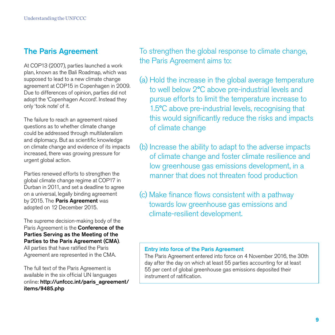## The Paris Agreement

At COP13 (2007), parties launched a work plan, known as the Bali Roadmap, which was supposed to lead to a new climate change agreement at COP15 in Copenhagen in 2009. Due to differences of opinion, parties did not adopt the 'Copenhagen Accord'. Instead they only 'took note' of it.

The failure to reach an agreement raised questions as to whether climate change could be addressed through multilateralism and diplomacy. But as scientific knowledge on climate change and evidence of its impacts increased, there was growing pressure for urgent global action.

Parties renewed efforts to strengthen the global climate change regime at COP17 in Durban in 2011, and set a deadline to agree on a universal, legally binding agreement by 2015. The Paris Agreement was adopted on 12 December 2015.

The supreme decision-making body of the Paris Agreement is the Conference of the Parties Serving as the Meeting of the Parties to the Paris Agreement (CMA). All parties that have ratified the Paris

Agreement are represented in the CMA.

The full text of the Paris Agreement is available in the six official UN languages online: http://unfccc.int/paris\_agreement/ items/9485.php

To strengthen the global response to climate change, the Paris Agreement aims to:

- (a) Hold the increase in the global average temperature to well below 2ºC above pre-industrial levels and pursue efforts to limit the temperature increase to 1.5ºC above pre-industrial levels, recognising that this would significantly reduce the risks and impacts of climate change
- (b) Increase the ability to adapt to the adverse impacts of climate change and foster climate resilience and low greenhouse gas emissions development, in a manner that does not threaten food production
- (c) Make finance flows consistent with a pathway towards low greenhouse gas emissions and climate-resilient development.

#### Entry into force of the Paris Agreement

The Paris Agreement entered into force on 4 November 2016, the 30th day after the day on which at least 55 parties accounting for at least 55 per cent of global greenhouse gas emissions deposited their instrument of ratification.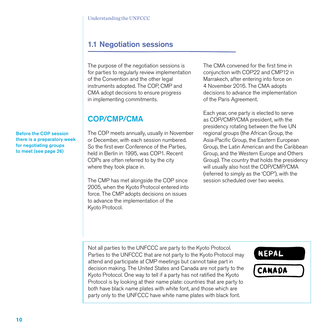## 1.1 Negotiation sessions

The purpose of the negotiation sessions is for parties to regularly review implementation of the Convention and the other legal instruments adopted. The COP, CMP and CMA adopt decisions to ensure progress in implementing commitments.

## COP/CMP/CMA

Before the COP session there is a preparatory week for negotiating groups to meet (see page 26)

The COP meets annually, usually in November or December, with each session numbered. So the first ever Conference of the Parties, held in Berlin in 1995, was COP1. Recent COPs are often referred to by the city where they took place in.

The CMP has met alongside the COP since 2005, when the Kyoto Protocol entered into force. The CMP adopts decisions on issues to advance the implementation of the Kyoto Protocol.

The CMA convened for the first time in conjunction with COP22 and CMP12 in Marrakech, after entering into force on 4 November 2016. The CMA adopts decisions to advance the implementation of the Paris Agreement.

Each year, one party is elected to serve as COP/CMP/CMA president, with the presidency rotating between the five UN regional groups (the African Group, the Asia-Pacific Group, the Eastern European Group, the Latin American and the Caribbean Group, and the Western Europe and Others Group). The country that holds the presidency will usually also host the COP/CMP/CMA (referred to simply as the 'COP'), with the session scheduled over two weeks.

Not all parties to the UNFCCC are party to the Kyoto Protocol. Parties to the UNFCCC that are not party to the Kyoto Protocol may attend and participate at CMP meetings but cannot take part in decision making. The United States and Canada are not party to the Kyoto Protocol. One way to tell if a party has not ratified the Kyoto Protocol is by looking at their name plate: countries that are party to both have black name plates with white font, and those which are party only to the UNFCCC have white name plates with black font.

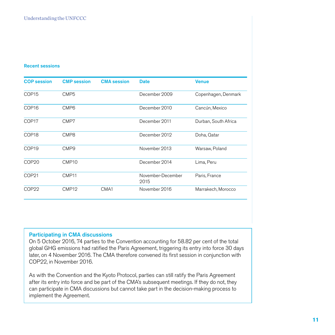#### Recent sessions

| <b>COP</b> session | <b>CMP</b> session | <b>CMA</b> session | <b>Date</b>               | <b>Venue</b>         |
|--------------------|--------------------|--------------------|---------------------------|----------------------|
| COP <sub>15</sub>  | CMP <sub>5</sub>   |                    | December 2009             | Copenhagen, Denmark  |
| COP <sub>16</sub>  | CMP <sub>6</sub>   |                    | December 2010             | Cancún, Mexico       |
| COP <sub>17</sub>  | CMP7               |                    | December 2011             | Durban, South Africa |
| COP <sub>18</sub>  | CMP8               |                    | December 2012             | Doha, Qatar          |
| COP <sub>19</sub>  | CMP <sub>9</sub>   |                    | November 2013             | Warsaw, Poland       |
| COP <sub>20</sub>  | CMP <sub>10</sub>  |                    | December 2014             | Lima, Peru           |
| COP <sub>21</sub>  | CMP <sub>11</sub>  |                    | November-December<br>2015 | Paris, France        |
| COP <sub>22</sub>  | CMP <sub>12</sub>  | CMA1               | November 2016             | Marrakech, Morocco   |

#### Participating in CMA discussions

On 5 October 2016, 74 parties to the Convention accounting for 58.82 per cent of the total global GHG emissions had ratified the Paris Agreement, triggering its entry into force 30 days later, on 4 November 2016. The CMA therefore convened its first session in conjunction with COP22, in November 2016.

As with the Convention and the Kyoto Protocol, parties can still ratify the Paris Agreement after its entry into force and be part of the CMA's subsequent meetings. If they do not, they can participate in CMA discussions but cannot take part in the decision-making process to implement the Agreement.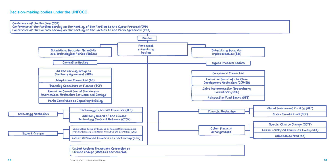

Least Developed Countries Fund (LDCF)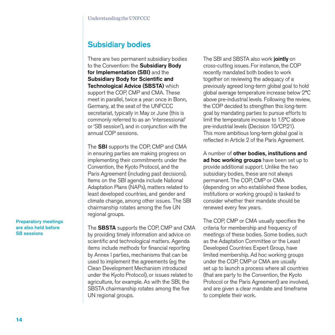## Subsidiary bodies

There are two permanent subsidiary bodies to the Convention: the **Subsidiary Body** for Implementation (SBI) and the Subsidiary Body for Scientific and Technological Advice (SBSTA) which support the COP, CMP and CMA. These meet in parallel, twice a year: once in Bonn, Germany, at the seat of the UNFCCC secretariat, typically in May or June (this is commonly referred to as an 'intersessional' or 'SB session'), and in conjunction with the annual COP sessions.

The SBI supports the COP, CMP and CMA in ensuring parties are making progress on implementing their commitments under the Convention, the Kyoto Protocol, and the Paris Agreement (including past decisions). Items on the SBI agenda include National Adaptation Plans (NAPs), matters related to least developed countries, and gender and climate change, among other issues. The SBI chairmanship rotates among the five UN regional groups.

The **SBSTA** supports the COP, CMP and CMA by providing timely information and advice on scientific and technological matters. Agenda items include methods for financial reporting by Annex I parties, mechanisms that can be used to implement the agreements (eg the Clean Development Mechanism introduced under the Kyoto Protocol), or issues related to agriculture, for example. As with the SBI, the SBSTA chairmanship rotates among the five UN regional groups.

The SBI and SBSTA also work jointly on cross-cutting issues. For instance, the COP recently mandated both bodies to work together on reviewing the adequacy of a previously agreed long-term global goal to hold global average temperature increase below 2ºC above pre-industrial levels. Following the review, the COP decided to strengthen this long-term goal by mandating parties to pursue efforts to limit the temperature increase to 1.5ºC above pre-industrial levels (Decision 10/CP.21). This more ambitious long-term global goal is reflected in Article 2 of the Paris Agreement.

A number of other bodies, institutions and ad hoc working groups have been set up to provide additional support. Unlike the two subsidiary bodies, these are not always permanent. The COP, CMP or CMA (depending on who established these bodies, institutions or working groups) is tasked to consider whether their mandate should be renewed every few years.

The COP, CMP or CMA usually specifies the criteria for membership and frequency of meetings of these bodies. Some bodies, such as the Adaptation Committee or the Least Developed Countries Expert Group, have limited membership. Ad hoc working groups under the COP, CMP or CMA are usually set up to launch a process where all countries (that are party to the Convention, the Kyoto Protocol or the Paris Agreement) are involved, and are given a clear mandate and timeframe to complete their work.

Preparatory meetings are also held before SB sessions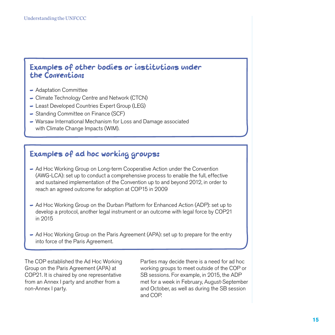## Examples of other bodies or institutions under the Convention:

- Adaptation Committee
- Climate Technology Centre and Network (CTCN)
- Least Developed Countries Expert Group (LEG)
- Standing Committee on Finance (SCF)
- Warsaw International Mechanism for Loss and Damage associated with Climate Change Impacts (WIM).

## Examples of ad hoc working groups:

- Ad Hoc Working Group on Long-term Cooperative Action under the Convention (AWG-LCA): set up to conduct a comprehensive process to enable the full, effective and sustained implementation of the Convention up to and beyond 2012, in order to reach an agreed outcome for adoption at COP15 in 2009
- Ad Hoc Working Group on the Durban Platform for Enhanced Action (ADP): set up to develop a protocol, another legal instrument or an outcome with legal force by COP21 in 2015
- Ad Hoc Working Group on the Paris Agreement (APA): set up to prepare for the entry into force of the Paris Agreement.

The COP established the Ad Hoc Working Group on the Paris Agreement (APA) at COP21. It is chaired by one representative from an Annex I party and another from a non-Annex I party.

Parties may decide there is a need for ad hoc working groups to meet outside of the COP or SB sessions. For example, in 2015, the ADP met for a week in February, August-September and October, as well as during the SB session and COP.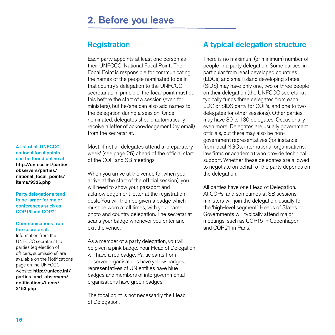## 2. Before you leave

## **Registration**

Each party appoints at least one person as their UNFCCC 'National Focal Point'. The Focal Point is responsible for communicating the names of the people nominated to be in that country's delegation to the UNFCCC secretariat. In principle, the focal point must do this before the start of a session (even for ministers), but he/she can also add names to the delegation during a session. Once nominated, delegates should automatically receive a letter of acknowledgement (by email) from the secretariat.

Most, if not all delegates attend a 'preparatory week' (see page 26) ahead of the official start of the COP and SB meetings.

When you arrive at the venue (or when you arrive at the start of the official session), you will need to show your passport and acknowledgement letter at the registration desk. You will then be given a badge which must be worn at all times, with your name, photo and country delegation. The secretariat scans your badge whenever you enter and exit the venue.

As a member of a party delegation, you will be given a pink badge. Your Head of Delegation will have a red badge. Participants from observer organisations have yellow badges, representatives of UN entities have blue badges and members of intergovernmental organisations have green badges.

The focal point is not necessarily the Head of Delegation.

## A typical delegation structure

There is no maximum (or minimum) number of people in a party delegation. Some parties, in particular from least developed countries (LDCs) and small island developing states (SIDS) may have only one, two or three people on their delegation (the UNFCCC secretariat typically funds three delegates from each LDC or SIDS party for COPs, and one to two delegates for other sessions). Other parties may have 80 to 130 delegates. Occasionally even more. Delegates are usually government officials, but there may also be nongovernment representatives (for instance, from local NGOs, international organisations, law firms or academia) who provide technical support. Whether these delegates are allowed to negotiate on behalf of the party depends on the delegation.

All parties have one Head of Delegation. At COPs, and sometimes at SB sessions, ministers will join the delegation, usually for the 'high-level segment'. Heads of States or Governments will typically attend major meetings, such as COP15 in Copenhagen and COP21 in Paris.

#### A list of all UNFCCC national focal points can be found online at: http://unfccc.int/parties\_ observers/parties/ national focal points/ items/9336.php

Party delegations tend to be larger for major conferences such as COP15 and COP21.

#### Communications from the secretariat:

Information from the UNFCCC secretariat to parties (eg election of officers, submissions) are available on the Notifications page on the UNFCCC website: http://unfccc.int/ parties and observers/ notifications/items/ 3153.php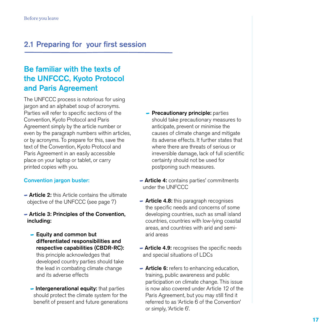## 2.1 Preparing for your first session

## Be familiar with the texts of the UNFCCC, Kyoto Protocol and Paris Agreement

The UNFCCC process is notorious for using jargon and an alphabet soup of acronyms. Parties will refer to specific sections of the Convention, Kyoto Protocol and Paris Agreement simply by the article number or even by the paragraph numbers within articles, or by acronyms. To prepare for this, save the text of the Convention, Kyoto Protocol and Paris Agreement in an easily accessible place on your laptop or tablet, or carry printed copies with you.

#### Convention jargon buster:

- Article 2: this Article contains the ultimate objective of the UNFCCC (see page 7)
- Article 3: Principles of the Convention, including:
	- Equity and common but differentiated responsibilities and respective capabilities (CBDR-RC): this principle acknowledges that developed country parties should take the lead in combating climate change and its adverse effects
	- $\blacksquare$  Intergenerational equity: that parties should protect the climate system for the benefit of present and future generations
- **Precautionary principle:** parties should take precautionary measures to anticipate, prevent or minimise the causes of climate change and mitigate its adverse effects. It further states that where there are threats of serious or irreversible damage, lack of full scientific certainty should not be used for postponing such measures.
- **Article 4:** contains parties' commitments under the UNFCCC
- **Article 4.8:** this paragraph recognises the specific needs and concerns of some developing countries, such as small island countries, countries with low-lying coastal areas, and countries with arid and semiarid areas
- **Article 4.9:** recognises the specific needs and special situations of LDCs
- **Article 6:** refers to enhancing education, training, public awareness and public participation on climate change. This issue is now also covered under Article 12 of the Paris Agreement, but you may still find it referred to as 'Article 6 of the Convention' or simply, 'Article 6'.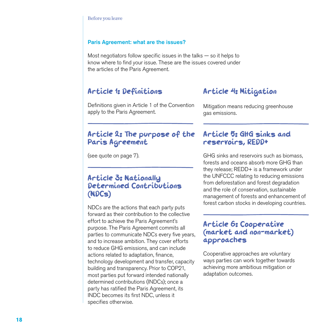#### Paris Agreement: what are the issues?

Most negotiators follow specific issues in the talks  $-$  so it helps to know where to find your issue. These are the issues covered under the articles of the Paris Agreement.

## Article 1: Definitions

Definitions given in Article 1 of the Convention apply to the Paris Agreement.

## Article 2: The purpose of the Paris Agreement

(see quote on page 7).

## Article 3: Nationally Determined Contributions (NDCs)

NDCs are the actions that each party puts forward as their contribution to the collective effort to achieve the Paris Agreement's purpose. The Paris Agreement commits all parties to communicate NDCs every five years, and to increase ambition. They cover efforts to reduce GHG emissions, and can include actions related to adaptation, finance, technology development and transfer, capacity building and transparency. Prior to COP21, most parties put forward intended nationally determined contributions (INDCs); once a party has ratified the Paris Agreement, its INDC becomes its first NDC, unless it specifies otherwise.

## Article 4: Mitigation

Mitigation means reducing greenhouse gas emissions.

## Article 5: GHG sinks and reservoirs, REDD+

GHG sinks and reservoirs such as biomass, forests and oceans absorb more GHG than they release; REDD+ is a framework under the UNFCCC relating to reducing emissions from deforestation and forest degradation and the role of conservation, sustainable management of forests and enhancement of forest carbon stocks in developing countries.

## Article 6: Cooperative (market and non-market) approaches

Cooperative approaches are voluntary ways parties can work together towards achieving more ambitious mitigation or adaptation outcomes.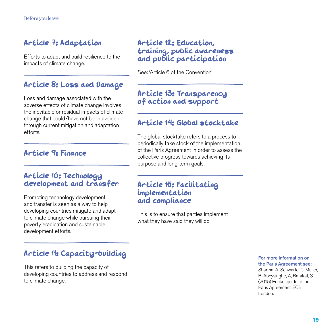## Article 7: Adaptation

Efforts to adapt and build resilience to the impacts of climate change.

## Article 8: Loss and Damage

Loss and damage associated with the adverse effects of climate change involves the inevitable or residual impacts of climate change that could/have not been avoided through current mitigation and adaptation efforts.

## Article 9: Finance

## Article 10: Technology development and transfer

Promoting technology development and transfer is seen as a way to help developing countries mitigate and adapt to climate change while pursuing their poverty eradication and sustainable development efforts.

## Article 11: Capacity-building

This refers to building the capacity of developing countries to address and respond to climate change.

## Article 12: Education, training, public awareness and public participation

See: 'Article 6 of the Convention'

## Article 13: Transparency of action and support

## Article 14: Global stocktake

The global stocktake refers to a process to periodically take stock of the implementation of the Paris Agreement in order to assess the collective progress towards achieving its purpose and long-term goals.

### Article 15: Facilitating implementation and compliance

This is to ensure that parties implement what they have said they will do.

#### For more information on the Paris Agreement see: Sharma, A, Schwarte, C, Müller, B, Abeysinghe, A, Barakat, S (2015) Pocket guide to the Paris Agreement. ECBI, London.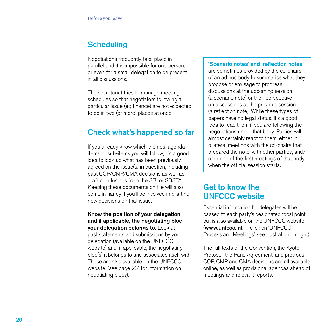## **Scheduling**

Negotiations frequently take place in parallel and it is impossible for one person, or even for a small delegation to be present in all discussions.

The secretariat tries to manage meeting schedules so that negotiators following a particular issue (eg finance) are not expected to be in two (or more) places at once.

## Check what's happened so far

If you already know which themes, agenda items or sub-items you will follow, it's a good idea to look up what has been previously agreed on the issue(s) in question, including past COP/CMP/CMA decisions as well as draft conclusions from the SBI or SBSTA. Keeping these documents on file will also come in handy if you'll be involved in drafting new decisions on that issue.

#### Know the position of your delegation, and if applicable, the negotiating bloc your delegation belongs to. Look at

past statements and submissions by your delegation (available on the UNFCCC website) and, if applicable, the negotiating bloc(s) it belongs to and associates itself with. These are also available on the UNFCCC website. (see page 23) for information on negotiating blocs).

#### 'Scenario notes' and 'reflection notes' are sometimes provided by the co-chairs of an ad hoc body to summarise what they propose or envisage to progress discussions at the upcoming session (a scenario note) or their perspective on discussions at the previous session (a reflection note). While these types of papers have no legal status, it's a good idea to read them if you are following the negotiations under that body. Parties will almost certainly react to them, either in bilateral meetings with the co-chairs that prepared the note, with other parties, and/ or in one of the first meetings of that body

## Get to know the UNFCCC website

when the official session starts.

Essential information for delegates will be passed to each party's designated focal point but is also available on the UNFCCC website (www.unfccc.int — click on 'UNFCCC Process and Meetings', see illustration on right).

The full texts of the Convention, the Kyoto Protocol, the Paris Agreement, and previous COP, CMP and CMA decisions are all available online, as well as provisional agendas ahead of meetings and relevant reports.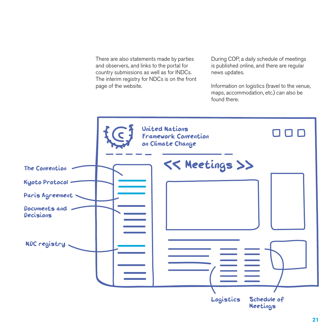There are also statements made by parties and observers, and links to the portal for country submissions as well as for INDCs. The interim registry for NDCs is on the front page of the website.

During COP, a daily schedule of meetings is published online, and there are regular news updates.

Information on logistics (travel to the venue, maps, accommodation, etc.) can also be found there.

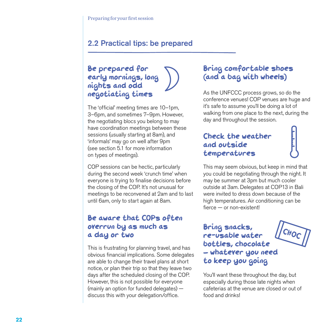## 2.2 Practical tips: be prepared

## Be prepared for early mornings, long nights and odd negotiating times

The 'official' meeting times are 10–1pm, 3–6pm, and sometimes 7–9pm. However, the negotiating blocs you belong to may have coordination meetings between these sessions (usually starting at 8am), and 'informals' may go on well after 9pm (see section 5.1 for more information on types of meetings).

COP sessions can be hectic, particularly during the second week 'crunch time' when everyone is trying to finalise decisions before the closing of the COP. It's not unusual for meetings to be reconvened at 2am and to last until 6am, only to start again at 8am.

## Be aware that COPs often overrun by as much as a day or two

This is frustrating for planning travel, and has obvious financial implications. Some delegates are able to change their travel plans at short notice, or plan their trip so that they leave two days after the scheduled closing of the COP. However, this is not possible for everyone (mainly an option for funded delegates) discuss this with your delegation/office.

## Bring comfortable shoes (and a bag with wheels)

As the UNFCCC process grows, so do the conference venues! COP venues are huge and it's safe to assume you'll be doing a lot of walking from one place to the next, during the day and throughout the session.

## Check the weather and outside temperatures

This may seem obvious, but keep in mind that you could be negotiating through the night. It may be summer at 3pm but much cooler outside at 3am. Delegates at COP13 in Bali were invited to dress down because of the high temperatures. Air conditioning can be fierce — or non-existent!

## Bring snacks, re-usable water bottles, chocolate whatever you need to keep you going



You'll want these throughout the day, but especially during those late nights when cafeterias at the venue are closed or out of food and drinks!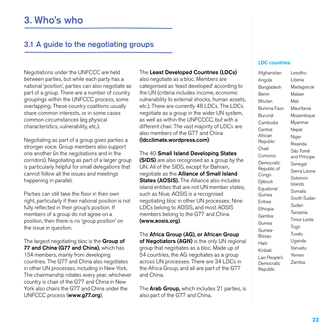## 3.1 A guide to the negotiating groups

Negotiations under the UNFCCC are held between parties, but while each party has a national 'position', parties can also negotiate as part of a group. There are a number of country groupings within the UNFCCC process, some overlapping. These country coalitions usually share common interests, or in some cases common circumstances (eg physical characteristics, vulnerability, etc.).

Negotiating as part of a group gives parties a stronger voice. Group members also support one another (in the negotiations and in the corridors). Negotiating as part of a larger group is particularly helpful for small delegations that cannot follow all the issues and meetings happening in parallel.

Parties can still take the floor in their own right, particularly if their national position is not fully reflected in their group's position. If members of a group do not agree on a position, then there is no 'group position' on the issue in question.

The largest negotiating bloc is the **Group of** 77 and China (G77 and China), which has 134 members, mainly from developing countries. The G77 and China also negotiates in other UN processes, including in New York. The chairmanship rotates every year; whichever country is chair of the G77 and China in New York also chairs the G77 and China under the UNFCCC process (www.g77.org).

#### The Least Developed Countries (LDCs)

also negotiate as a bloc. Members are categorised as 'least developed' according to the UN (criteria includes income, economic vulnerability to external shocks, human assets, etc.). There are currently 48 LDCs. The LDCs negotiate as a group in the wider UN system, as well as within the UNFCCCC, but with a different chair. The vast majority of LDCs are also members of the G77 and China (ldcclimate.wordpress.com).

The 40 Small Island Developing States

**(SIDS)** are also recognised as a group by the UN. All of the SIDS, except for Bahrain, negotiate as the Alliance of Small Island States (AOSIS). The Alliance also includes island entities that are not UN member states, such as Niue. AOSIS is a recognised negotiating bloc in other UN processes. Nine LDCs belong to AOSIS, and most AOSIS members belong to the G77 and China (www.aosis.org).

The Africa Group (AG), or African Group of Negotiators (AGN) is the only UN regional group that negotiates as a bloc. Made up of 54 countries, the AG negotiates as a group across UN processes. There are 34 LDCs in the Africa Group, and all are part of the G77 and China.

The **Arab Group**, which includes 21 parties, is also part of the G77 and China.

#### LDC countries:

Afghanistan Angola Bangladesh Benin Bhutan Burkina Faso Burundi Cambodia Central African Republic Chad Comoros Democratic Republic of Congo Djibouti Equatorial Guinea **Eritrea** Ethiopia Gambia Guinea Guinea-Bissau Haiti Kiribati Lao People's **Democratic Republic** Lesotho Liberia Madagascar Malawi Mali Mauritania Mozambique Myanmar Nepal Niger Rwanda São Tomé and Príncipe Senegal Sierra Leone Solomon Islands Somalia South Sudan Sudan Tanzania Timor Leste Togo Tuvalu Uganda Vanuatu Yemen Zambia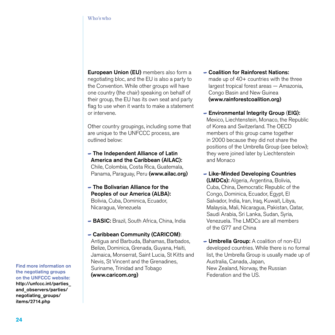European Union (EU) members also form a negotiating bloc, and the EU is also a party to the Convention. While other groups will have one country (the chair) speaking on behalf of their group, the EU has its own seat and party flag to use when it wants to make a statement or intervene.

Other country groupings, including some that are unique to the UNFCCC process, are outlined below:

- The Independent Alliance of Latin America and the Caribbean (AILAC): Chile, Colombia, Costa Rica, Guatemala, Panama, Paraguay, Peru (www.ailac.org)
- The Bolivarian Alliance for the Peoples of our America (ALBA): Bolivia, Cuba, Dominica, Ecuador, Nicaragua, Venezuela
- BASIC: Brazil, South Africa, China, India
- Caribbean Community (CARICOM): Antigua and Barbuda, Bahamas, Barbados, Belize, Dominica, Grenada, Guyana, Haiti, Jamaica, Monserrat, Saint Lucia, St Kitts and Nevis, St Vincent and the Grenadines, Suriname, Trinidad and Tobago (www.caricom.org)
- Coalition for Rainforest Nations: made up of 40+ countries with the three largest tropical forest areas — Amazonia, Congo Basin and New Guinea (www.rainforestcoalition.org)
- Environmental Integrity Group (EIG): Mexico, Liechtenstein, Monaco, the Republic of Korea and Switzerland. The OECD members of this group came together in 2000 because they did not share the positions of the Umbrella Group (see below); they were joined later by Liechtenstein and Monaco
- Like-Minded Developing Countries (LMDCs): Algeria, Argentina, Bolivia, Cuba, China, Democratic Republic of the Congo, Dominica, Ecuador, Egypt, El Salvador, India, Iran, Iraq, Kuwait, Libya, Malaysia, Mali, Nicaragua, Pakistan, Qatar, Saudi Arabia, Sri Lanka, Sudan, Syria, Venezuela. The LMDCs are all members of the G77 and China
- **Umbrella Group:** A coalition of non-EU developed countries. While there is no formal list, the Umbrella Group is usually made up of Australia, Canada, Japan, New Zealand, Norway, the Russian Federation and the US.

Find more information on the negotiating groups on the UNFCCC website: http://unfccc.int/parties\_ and\_observers/parties/ negotiating\_groups/ items/2714.php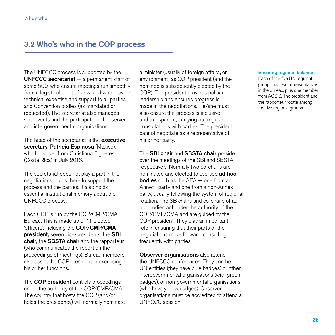## 3.2 Who's who in the COP process

The UNFCCC process is supported by the UNFCCC secretariat  $-$  a permanent staff of some 500, who ensure meetings run smoothly from a logistical point of view, and who provide technical expertise and support to all parties and Convention bodies (as mandated or requested). The secretariat also manages side events and the participation of observer and intergovernmental organisations.

The head of the secretariat is the **executive** secretary, Patricia Espinosa (Mexico), who took over from Christiana Figueres (Costa Rica) in July 2016.

The secretariat does not play a part in the negotiations, but is there to support the process and the parties. It also holds essential institutional memory about the UNFCCC process.

Each COP is run by the COP/CMP/CMA Bureau. This is made up of 11 elected 'officers', including the COP/CMP/CMA president, seven vice-presidents, the SBI chair, the SBSTA chair and the rapporteur (who communicates the report on the proceedings of meetings). Bureau members also assist the COP president in exercising his or her functions.

The **COP president** controls proceedings, under the authority of the COP/CMP/CMA. The country that hosts the COP (and/or holds the presidency) will normally nominate

a minister (usually of foreign affairs, or environment) as COP president (and the nominee is subsequently elected by the COP). The president provides political leadership and ensures progress is made in the negotiations. He/she must also ensure the process is inclusive and transparent, carrying out regular consultations with parties. The president cannot negotiate as a representative of his or her party.

The **SBI chair** and **SBSTA chair** preside over the meetings of the SBI and SBSTA, respectively. Normally two co-chairs are nominated and elected to oversee ad hoc **bodies** such as the APA — one from an Annex I party and one from a non-Annex I party, usually following the system of regional rotation. The SB chairs and co-chairs of ad hoc bodies act under the authority of the COP/CMP/CMA and are guided by the COP president. They play an important role in ensuring that their parts of the negotiations move forward, consulting frequently with parties.

**Observer organisations** also attend the UNFCCC conferences. They can be UN entities (they have blue badges) or other intergovernmental organisations (with green badges), or non-governmental organisations (who have yellow badges). Observer organisations must be accredited to attend a UNFCCC session.

#### Ensuring regional balance:

Each of the five UN regional groups has two representatives in the bureau, plus one member from AOSIS. The president and the rapporteur rotate among the five regional groups.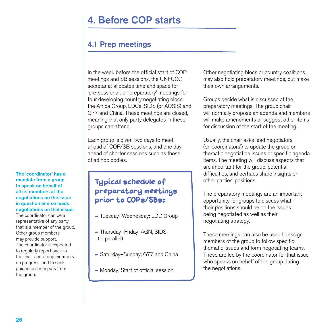## 4. Before COP starts

## 4.1 Prep meetings

In the week before the official start of COP meetings and SB sessions, the UNFCCC secretariat allocates time and space for 'pre-sessional', or 'preparatory' meetings for four developing country negotiating blocs: the Africa Group, LDCs, SIDS (or AOSIS) and G77 and China. These meetings are closed, meaning that only party delegates in these groups can attend.

Each group is given two days to meet ahead of COP/SB sessions, and one day ahead of shorter sessions such as those of ad hoc bodies.

## Typical schedule of preparatory meetings prior to COPs/SBs:

- Tuesday-Wednesday: LDC Group
- Thursday-Friday: AGN, SIDS (in parallel)
- Saturday-Sunday: G77 and China
- Monday: Start of official session.

Other negotiating blocs or country coalitions may also hold preparatory meetings, but make their own arrangements.

Groups decide what is discussed at the preparatory meetings. The group chair will normally propose an agenda and members will make amendments or suggest other items for discussion at the start of the meeting.

Usually, the chair asks lead negotiators (or 'coordinators') to update the group on thematic negotiation issues or specific agenda items. The meeting will discuss aspects that are important for the group, potential difficulties, and perhaps share insights on other parties' positions.

The preparatory meetings are an important opportunity for groups to discuss what their positions should be on the issues being negotiated as well as their negotiating strategy.

These meetings can also be used to assign members of the group to follow specific thematic issues and form negotiating teams. These are led by the coordinator for that issue who speaks on behalf of the group during the negotiations.

#### The 'coordinator' has a mandate from a group to speak on behalf of all its members at the negotiations on the issue in question and so leads negotiations on that issue:

The coordinator can be a representative of any party that is a member of the group. Other group members may provide support. The coordinator is expected to regularly report back to the chair and group members on progress, and to seek guidance and inputs from the group.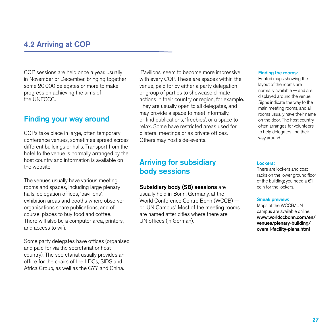## 4.2 Arriving at COP

COP sessions are held once a year, usually in November or December, bringing together some 20,000 delegates or more to make progress on achieving the aims of the UNFCCC.

### Finding your way around

COPs take place in large, often temporary conference venues, sometimes spread across different buildings or halls. Transport from the hotel to the venue is normally arranged by the host country and information is available on the website.

The venues usually have various meeting rooms and spaces, including large plenary halls, delegation offices, 'pavilions', exhibition areas and booths where observer organisations share publications, and of course, places to buy food and coffee. There will also be a computer area, printers, and access to wifi.

Some party delegates have offices (organised and paid for via the secretariat or host country). The secretariat usually provides an office for the chairs of the LDCs, SIDS and Africa Group, as well as the G77 and China.

'Pavilions' seem to become more impressive with every COP. These are spaces within the venue, paid for by either a party delegation or group of parties to showcase climate actions in their country or region, for example. They are usually open to all delegates, and may provide a space to meet informally, or find publications, 'freebies', or a space to relax. Some have restricted areas used for bilateral meetings or as private offices. Others may host side-events.

## Arriving for subsidiary body sessions

#### Subsidiary body (SB) sessions are

usually held in Bonn, Germany, at the World Conference Centre Bonn (WCCB) or 'UN Campus'. Most of the meeting rooms are named after cities where there are UN offices (in German).

#### Finding the rooms:

Printed maps showing the layout of the rooms are normally available — and are displayed around the venue. Signs indicate the way to the main meeting rooms, and all rooms usually have their name on the door. The host country often arranges for volunteers to help delegates find their way around.

#### Lockers:

There are lockers and coat racks on the lower ground floor of the building; you need a  $€1$ coin for the lockers.

#### Sneak preview:

Maps of the WCCB/UN campus are available online: www.worldccbonn.com/en/ venues/plenary-building/ overall-facility-plans.html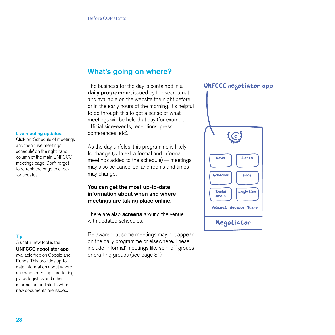## What's going on where?

The business for the day is contained in a daily programme, issued by the secretariat and available on the website the night before or in the early hours of the morning. It's helpful to go through this to get a sense of what meetings will be held that day (for example official side-events, receptions, press conferences, etc).

As the day unfolds, this programme is likely to change (with extra formal and informal meetings added to the schedule) — meetings may also be cancelled, and rooms and times may change.

#### You can get the most up-to-date information about when and where meetings are taking place online.

There are also **screens** around the venue with updated schedules.

Be aware that some meetings may not appear on the daily programme or elsewhere. These include 'informal' meetings like spin-off groups or drafting groups (see page 31).

#### UNFCCC negotiator app



#### Live meeting updates:

Click on 'Schedule of meetings' and then 'Live meetings schedule' on the right hand column of the main UNFCCC meetings page. Don't forget to refresh the page to check for updates.

#### Tip:

A useful new tool is the

#### UNFCCC negotiator app,

available free on Google and iTunes. This provides up-todate information about where and when meetings are taking place, logistics and other information and alerts when new documents are issued.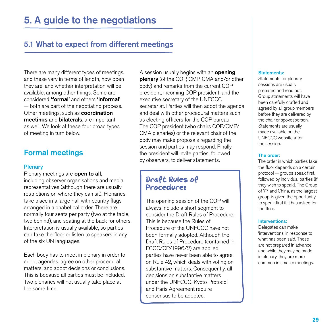## 5.1 What to expect from different meetings

There are many different types of meetings, and these vary in terms of length, how open they are, and whether interpretation will be available, among other things. Some are considered 'formal' and others 'informal' — both are part of the negotiating process. Other meetings, such as **coordination** meetings and bilaterals, are important as well. We look at these four broad types of meeting in turn below.

## Formal meetings

#### **Plenary**

Plenary meetings are **open to all,** including observer organisations and media representatives (although there are usually restrictions on where they can sit). Plenaries take place in a large hall with country flags arranged in alphabetical order. There are normally four seats per party (two at the table, two behind), and seating at the back for others. Interpretation is usually available, so parties can take the floor or listen to speakers in any of the six UN languages.

Each body has to meet in plenary in order to adopt agendas, agree on other procedural matters, and adopt decisions or conclusions. This is because all parties must be included. Two plenaries will not usually take place at the same time.

A session usually begins with an **opening** plenary (of the COP, CMP, CMA and/or other body) and remarks from the current COP president, incoming COP president, and the executive secretary of the UNFCCC secretariat. Parties will then adopt the agenda, and deal with other procedural matters such as electing officers for the COP bureau. The COP president (who chairs COP/CMP/ CMA plenaries) or the relevant chair of the body may make proposals regarding the session and parties may respond. Finally, the president will invite parties, followed by observers, to deliver statements.

## Draft Rules of Procedure:

The opening session of the COP will always include a short segment to consider the Draft Rules of Procedure. This is because the Rules of Procedure of the UNFCCC have not been formally adopted. Although the Draft Rules of Procedure (contained in FCCC/CP/1996/2) are applied, parties have never been able to agree on Rule 42, which deals with voting on substantive matters. Consequently, all decisions on substantive matters under the UNFCCC, Kyoto Protocol and Paris Agreement require consensus to be adopted.

#### Statements:

Statements for plenary sessions are usually prepared and read out. Group statements will have been carefully crafted and agreed by all group members before they are delivered by the chair or spokesperson. Statements are usually made available on the UNFCCC website after the session.

#### The order:

The order in which parties take the floor depends on a certain protocol — groups speak first, followed by individual parties (if they wish to speak). The Group of 77 and China, as the largest group, is given the opportunity to speak first if it has asked for the floor.

#### Interventions:

Delegates can make 'interventions' in response to what has been said. These are not prepared in advance and while they may be made in plenary, they are more common in smaller meetings.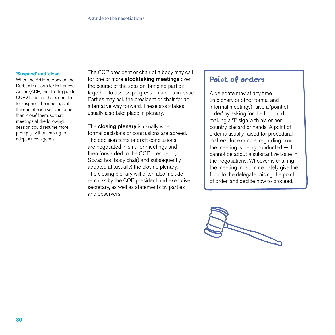#### 'Suspend' and 'close':

When the Ad Hoc Body on the Durban Platform for Enhanced Action (ADP) met leading up to COP21, the co-chairs decided to 'suspend' the meetings at the end of each session rather than 'close' them, so that meetings at the following session could resume more promptly without having to adopt a new agenda.

The COP president or chair of a body may call for one or more stocktaking meetings over the course of the session, bringing parties together to assess progress on a certain issue. Parties may ask the president or chair for an alternative way forward. These stocktakes usually also take place in plenary.

The **closing plenary** is usually when formal decisions or conclusions are agreed. The decision texts or draft conclusions are negotiated in smaller meetings and then forwarded to the COP president (or SB/ad hoc body chair) and subsequently adopted at (usually) the closing plenary. The closing plenary will often also include remarks by the COP president and executive secretary, as well as statements by parties and observers.

## Point of order:

A delegate may at any time (in plenary or other formal and informal meetings) raise a 'point of order' by asking for the floor and making a 'T' sign with his or her country placard or hands. A point of order is usually raised for procedural matters, for example, regarding how the meeting is being conducted  $-$  it cannot be about a substantive issue in the negotiations. Whoever is chairing the meeting must immediately give the floor to the delegate raising the point of order, and decide how to proceed.

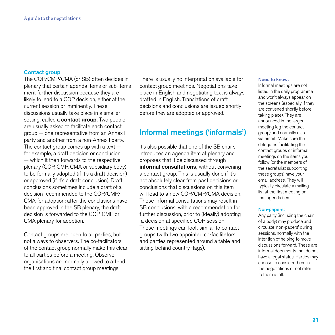#### Contact group

The COP/CMP/CMA (or SB) often decides in plenary that certain agenda items or sub-items merit further discussion because they are likely to lead to a COP decision, either at the current session or imminently. These discussions usually take place in a smaller setting, called a **contact group.** Two people are usually asked to facilitate each contact group — one representative from an Annex I party and another from a non-Annex I party. The contact group comes up with a text  $$ for example, a draft decision or conclusion — which it then forwards to the respective plenary (COP, CMP, CMA or subsidiary body) to be formally adopted (if it's a draft decision) or approved (if it's a draft conclusion). Draft conclusions sometimes include a draft of a decision recommended to the COP/CMP/ CMA for adoption; after the conclusions have been approved in the SB plenary, the draft decision is forwarded to the COP, CMP or CMA plenary for adoption.

Contact groups are open to all parties, but not always to observers. The co-facilitators of the contact group normally make this clear to all parties before a meeting. Observer organisations are normally allowed to attend the first and final contact group meetings.

There is usually no interpretation available for contact group meetings. Negotiations take place in English and negotiating text is always drafted in English. Translations of draft decisions and conclusions are issued shortly before they are adopted or approved.

### Informal meetings ('informals')

It's also possible that one of the SB chairs introduces an agenda item at plenary and proposes that it be discussed through informal consultations, without convening a contact group. This is usually done if it's not absolutely clear from past decisions or conclusions that discussions on this item will lead to a new COP/CMP/CMA decision. These informal consultations may result in SB conclusions, with a recommendation for further discussion, prior to (ideally) adopting a decision at specified COP session. These meetings can look similar to contact groups (with two appointed co-facilitators, and parties represented around a table and sitting behind country flags).

#### Need to know:

Informal meetings are not listed in the daily programme and won't always appear on the screens (especially if they are convened shortly before taking place). They are announced in the larger meeting (eg the contact group) and normally also via email. Make sure the delegates facilitating the contact groups or informal meetings on the items you follow (or the members of the secretariat supporting these groups) have your email address. They will typically circulate a mailing list at the first meeting on that agenda item.

#### Non-papers:

Any party (including the chair of a body) may produce and circulate 'non-papers' during sessions, normally with the intention of helping to move discussions forward. These are informal documents that do not have a legal status. Parties may choose to consider them in the negotiations or not refer to them at all.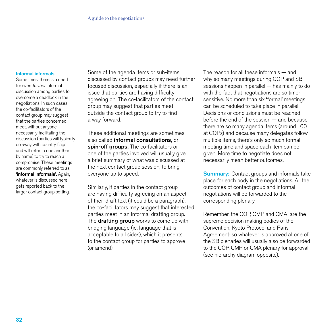#### Informal informals:

Sometimes, there is a need for even further informal discussion among parties to overcome a deadlock in the negotiations. In such cases, the co-facilitators of the contact group may suggest that the parties concerned meet, without anyone necessarily facilitating the discussion (parties will typically do away with country flags and will refer to one another by name) to try to reach a compromise. These meetings are commonly referred to as 'informal informals'. Again, whatever is discussed here gets reported back to the larger contact group setting.

Some of the agenda items or sub-items discussed by contact groups may need further focused discussion, especially if there is an issue that parties are having difficulty agreeing on. The co-facilitators of the contact group may suggest that parties meet outside the contact group to try to find a way forward.

These additional meetings are sometimes also called informal consultations, or spin-off groups. The co-facilitators or one of the parties involved will usually give a brief summary of what was discussed at the next contact group session, to bring everyone up to speed.

Similarly, if parties in the contact group are having difficulty agreeing on an aspect of their draft text (it could be a paragraph), the co-facilitators may suggest that interested parties meet in an informal drafting group. The **drafting group** works to come up with bridging language (ie. language that is acceptable to all sides), which it presents to the contact group for parties to approve (or amend).

The reason for all these informals — and why so many meetings during COP and SB sessions happen in parallel — has mainly to do with the fact that negotiations are so timesensitive. No more than six 'formal' meetings can be scheduled to take place in parallel. Decisions or conclusions must be reached before the end of the session — and because there are so many agenda items (around 100 at COPs) and because many delegates follow multiple items, there's only so much formal meeting time and space each item can be given. More time to negotiate does not necessarily mean better outcomes.

**Summary:** Contact groups and informals take place for each body in the negotiations. All the outcomes of contact group and informal negotiations will be forwarded to the corresponding plenary.

Remember, the COP, CMP and CMA, are the supreme decision making bodies of the Convention, Kyoto Protocol and Paris Agreement; so whatever is approved at one of the SB plenaries will usually also be forwarded to the COP, CMP or CMA plenary for approval (see hierarchy diagram opposite).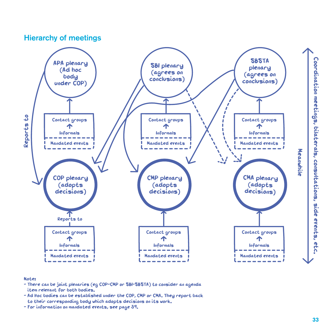## Hierarchy of meetings



#### Note:

- There can be joint plenaries (eg COP-CMP or SBI-SBSTA) to consider an agenda item relevant for both bodies.
- Ad Hoc bodies can be established under the COP, CMP or CMA. They report back to their corresponding body which adopts decisions on its work.
- For information on mandated events, see page 39.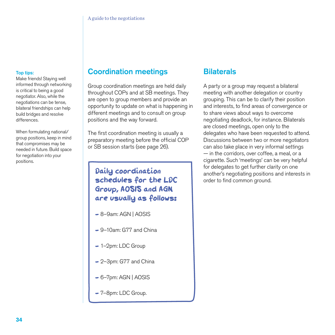#### Top tips:

Make friends! Staying well informed through networking is critical to being a good negotiator. Also, while the negotiations can be tense, bilateral friendships can help build bridges and resolve differences.

When formulating national/ group positions, keep in mind that compromises may be needed in future. Build space for negotiation into your positions.

## Coordination meetings

Group coordination meetings are held daily throughout COPs and at SB meetings. They are open to group members and provide an opportunity to update on what is happening in different meetings and to consult on group positions and the way forward.

The first coordination meeting is usually a preparatory meeting before the official COP or SB session starts (see page 26).

## Daily coordination schedules for the LDC Group, AOSIS and AGN are usually as follows:

- $-$  8–9am: AGN | AOSIS
- 9-10am: G77 and China
- 1-2pm: LDC Group
- 2-3pm: G77 and China
- $-6$ –7pm: AGN | AOSIS
- 7-8pm: LDC Group.

## **Bilaterals**

A party or a group may request a bilateral meeting with another delegation or country grouping. This can be to clarify their position and interests, to find areas of convergence or to share views about ways to overcome negotiating deadlock, for instance. Bilaterals are closed meetings, open only to the delegates who have been requested to attend. Discussions between two or more negotiators can also take place in very informal settings — in the corridors, over coffee, a meal, or a cigarette. Such 'meetings' can be very helpful for delegates to get further clarity on one another's negotiating positions and interests in order to find common ground.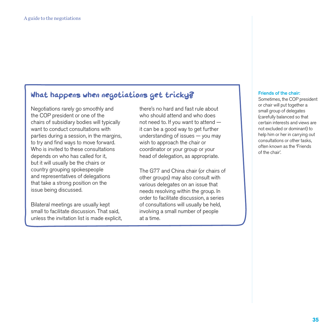## What happens when negotiations get tricky?

Negotiations rarely go smoothly and the COP president or one of the chairs of subsidiary bodies will typically want to conduct consultations with parties during a session, in the margins, to try and find ways to move forward. Who is invited to these consultations depends on who has called for it, but it will usually be the chairs or country grouping spokespeople and representatives of delegations that take a strong position on the issue being discussed.

Bilateral meetings are usually kept small to facilitate discussion. That said, unless the invitation list is made explicit,

there's no hard and fast rule about who should attend and who does not need to. If you want to attend it can be a good way to get further understanding of issues — you may wish to approach the chair or coordinator or your group or your head of delegation, as appropriate.

The G77 and China chair (or chairs of other groups) may also consult with various delegates on an issue that needs resolving within the group. In order to facilitate discussion, a series of consultations will usually be held, involving a small number of people at a time.

#### Friends of the chair:

Sometimes, the COP president or chair will put together a small group of delegates (carefully balanced so that certain interests and views are not excluded or dominant) to help him or her in carrying out consultations or other tasks, often known as the 'Friends of the chair'.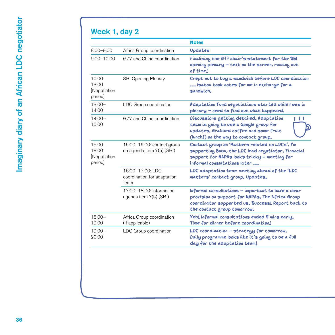## Week 1, day 2

|                                               |                                                         | <b>Notes</b>                                                                                                                                                                               |
|-----------------------------------------------|---------------------------------------------------------|--------------------------------------------------------------------------------------------------------------------------------------------------------------------------------------------|
| $8:00 - 9:00$                                 | Africa Group coordination                               | Updates                                                                                                                                                                                    |
| $9:00 - 10:00$                                | G77 and China coordination                              | Finalising the G77 chair's statement for the SBI<br>opening plenary - text on the screen, running out<br>of time!                                                                          |
| $10:00 -$<br>13:00<br>[Negotiation<br>period] | <b>SBI Opening Plenary</b>                              | Crept out to buy a sandwich before LDC coordination<br>Isatou took notes for me in exchange for a<br>sandwich.                                                                             |
| $13:00-$<br>14:00                             | LDC Group coordination                                  | Adaptation Fund negotiations started while I was in<br>plenary - need to find out what happened.                                                                                           |
| $14:00-$<br>15:00                             | G77 and China coordination                              | Discussions getting detailed. Adaptation<br>. .<br>team is going to use a Google group for<br>updates. Grabbed coffee and some fruit<br>(lunch!) on the way to contact group.              |
| $15:00-$<br>18:00<br>[Negotiation<br>period]  | 15:00-16:00: contact group<br>on agenda item 7(b) (SBI) | Contact group on 'Matters related to LDCs'. I'm<br>supporting Bubu, the LDC lead negotiator. Financial<br>support for NAPAs looks tricky - meeting for<br>informal consultations later     |
|                                               | 16:00-17:00: LDC<br>coordination for adaptation<br>team | LDC adaptation team meeting ahead of the 'LDC<br>matters' contact group. Updates.                                                                                                          |
|                                               | 17:00-18:00: informal on<br>agenda item 7(b) (SBI)      | Informal consultations - important to have a clear<br>provision on support for NAPAs. The Africa Group<br>coordinator supported us. Success! Report back to<br>the contact group tomorrow. |
| $18:00 -$<br>19:00                            | Africa Group coordination<br>(if applicable)            | Yeh! Informal consultations ended 5 mins early.<br>Time for dinner before coordination!                                                                                                    |
| $19:00 -$<br>20:00                            | LDC Group coordination                                  | LDC coordination - strategy for tomorrow.<br>Daily programme looks like it's going to be a full<br>day for the adaptation team!                                                            |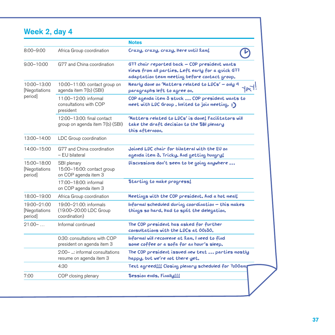## Week 2, day 4

|                                         |                                                                   | <b>Notes</b>                                                                                                                                         |
|-----------------------------------------|-------------------------------------------------------------------|------------------------------------------------------------------------------------------------------------------------------------------------------|
| $8:00 - 9:00$                           | Africa Group coordination                                         | Crazy, crazy, crazy. Here until lam!                                                                                                                 |
| $9.00 - 10:00$                          | G77 and China coordination                                        | G77 chair reported back - COP president wants<br>views from all parties. Left early for a quick G77<br>adaptation team meeting before contact group. |
| 10:00-13:00<br>[Negotiations<br>period  | 10:00-11:00: contact group on<br>agenda item 7(b) (SBI)           | Nearly done on 'Matters related to LDCs' – only 4<br>paragraphs left to agree on.                                                                    |
|                                         | 11:00-12:00: informal<br>consultations with COP<br>president      | COP agenda item 3 stuck  COP president wants to<br>meet with LDC Group. Invited to join meeting. :)                                                  |
|                                         | 12:00-13:00: final contact<br>group on agenda item 7(b) (SBI)     | 'Matters related to LDCs' is done! Facilitators will<br>take the draft decision to the SBI plenary<br>this afternoon.                                |
| 13:00-14:00                             | LDC Group coordination                                            |                                                                                                                                                      |
| 14:00-15:00                             | G77 and China coordination<br>– EU bilateral                      | Joined LDC chair for bilateral with the EU on<br>agenda item 3. Tricky. And getting hungry!                                                          |
| 15:00-18:00<br>[Negotiations<br>period  | SBI plenary<br>15:00-16:00: contact group<br>on COP agenda item 3 | Discussions don't seem to be going anywhere                                                                                                          |
|                                         | 17:00-18:00: informal<br>on COP agenda item 3                     | Starting to make progress!                                                                                                                           |
| 18:00-19:00                             | Africa Group coordination                                         | Meetings with the COP president. And a hot meal!                                                                                                     |
| 19:00-21:00<br>[Negotiations<br>period] | 19:00-21:00: informals<br>(19:00-20:00 LDC Group<br>coordination) | Informal scheduled during coordination – this makes<br>things so hard. Itad to split the delegation.                                                 |
| $21:00-$                                | Informal continued                                                | The COP president has asked for further<br>consultations with the LDCs at 00:30.                                                                     |
|                                         | 0:30: consultations with COP<br>president on agenda item 3        | Informal will reconvene at 2am. I need to find<br>some coffee or a sofa for an hour's sleep.                                                         |
|                                         | 2:00- : informal consultations<br>resume on agenda item 3         | The COP president issued new text  parties mostly<br>happy, but we're not there yet.                                                                 |
|                                         | 4:30                                                              | Text agreed!!! Closing plenary scheduled for 7:00am                                                                                                  |
| 7:00                                    | COP closing plenary                                               | Session ends. Finally!!!                                                                                                                             |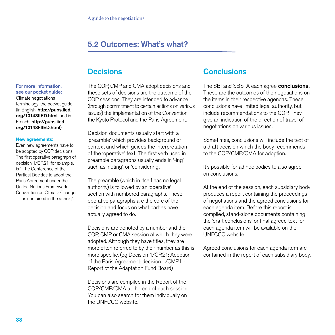## 5.2 Outcomes: What's what?

## **Decisions**

The COP, CMP and CMA adopt decisions and these sets of decisions are the outcome of the COP sessions. They are intended to advance (through commitment to certain actions on various issues) the implementation of the Convention, the Kyoto Protocol and the Paris Agreement.

Decision documents usually start with a 'preamble' which provides background or context and which guides the interpretation of the 'operative' text. The first verb used in preamble paragraphs usually ends in '-ing', such as 'noting', or 'considering'.

The preamble (which in itself has no legal authority) is followed by an 'operative' section with numbered paragraphs. These operative paragraphs are the core of the decision and focus on what parties have actually agreed to do.

Decisions are denoted by a number and the COP, CMP or CMA session at which they were adopted. Although they have titles, they are more often referred to by their number as this is more specific. (eg Decision 1/CP.21: Adoption of the Paris Agreement; decision 1/CMP.11: Report of the Adaptation Fund Board)

Decisions are compiled in the Report of the COP/CMP/CMA at the end of each session. You can also search for them individually on the UNFCCC website.

## **Conclusions**

The SBI and SBSTA each agree **conclusions.** These are the outcomes of the negotiations on the items in their respective agendas. These conclusions have limited legal authority, but include recommendations to the COP. They give an indication of the direction of travel of negotiations on various issues.

Sometimes, conclusions will include the text of a draft decision which the body recommends to the COP/CMP/CMA for adoption.

It's possible for ad hoc bodies to also agree on conclusions.

At the end of the session, each subsidiary body produces a report containing the proceedings of negotiations and the agreed conclusions for each agenda item. Before this report is compiled, stand-alone documents containing the 'draft conclusions' or final agreed text for each agenda item will be available on the UNFCCC website.

Agreed conclusions for each agenda item are contained in the report of each subsidiary body.

#### For more information, see our pocket guide:

Climate negotiations terminology: the pocket guide (in English: http://pubs.iied. org/10148IIED.html and in French: http://pubs.iied. org/10148FIIED.html)

#### New agreements:

Even new agreements have to be adopted by COP decisions. The first operative paragraph of decision 1/CP.21, for example, is "[The Conference of the Parties] Decides to adopt the Paris Agreement under the United Nations Framework Convention on Climate Change … as contained in the annex;".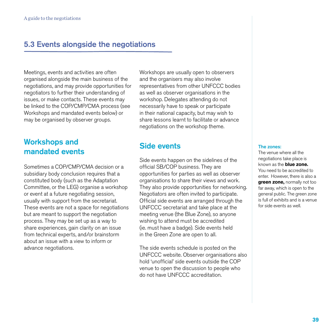## 5.3 Events alongside the negotiations

Meetings, events and activities are often organised alongside the main business of the negotiations, and may provide opportunities for negotiators to further their understanding of issues, or make contacts. These events may be linked to the COP/CMP/CMA process (see Workshops and mandated events below) or may be organised by observer groups.

## Workshops and mandated events

Sometimes a COP/CMP/CMA decision or a subsidiary body conclusion requires that a constituted body (such as the Adaptation Committee, or the LEG) organise a workshop or event at a future negotiating session, usually with support from the secretariat. These events are not a space for negotiations but are meant to support the negotiation process. They may be set up as a way to share experiences, gain clarity on an issue from technical experts, and/or brainstorm about an issue with a view to inform or advance negotiations.

Workshops are usually open to observers and the organisers may also involve representatives from other UNFCCC bodies as well as observer organisations in the workshop. Delegates attending do not necessarily have to speak or participate in their national capacity, but may wish to share lessons learnt to facilitate or advance negotiations on the workshop theme.

## Side events

Side events happen on the sidelines of the official SB/COP business. They are opportunities for parties as well as observer organisations to share their views and work. They also provide opportunities for networking. Negotiators are often invited to participate. Official side events are arranged through the UNFCCC secretariat and take place at the meeting venue (the Blue Zone), so anyone wishing to attend must be accredited (ie. must have a badge). Side events held in the Green Zone are open to all.

The side events schedule is posted on the UNFCCC website. Observer organisations also hold 'unofficial' side events outside the COP venue to open the discussion to people who do not have UNFCCC accreditation.

#### The zones:

The venue where all the negotiations take place is known as the **blue zone.**  You need to be accredited to enter. However, there is also a **green zone,** normally not too far away, which is open to the general public. The green zone is full of exhibits and is a venue for side events as well.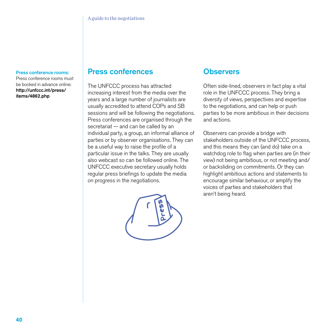#### Press conference rooms:

Press conference rooms must be booked in advance online: http://unfccc.int/press/ items/4862.php

### Press conferences

The UNFCCC process has attracted increasing interest from the media over the years and a large number of journalists are usually accredited to attend COPs and SB sessions and will be following the negotiations. Press conferences are organised through the secretariat — and can be called by an individual party, a group, an informal alliance of parties or by observer organisations. They can be a useful way to raise the profile of a particular issue in the talks. They are usually also webcast so can be followed online. The UNFCCC executive secretary usually holds regular press briefings to update the media on progress in the negotiations.



### **Observers**

Often side-lined, observers in fact play a vital role in the UNFCCC process. They bring a diversity of views, perspectives and expertise to the negotiations, and can help or push parties to be more ambitious in their decisions and actions.

Observers can provide a bridge with stakeholders outside of the UNFCCC process, and this means they can (and do) take on a watchdog role to flag when parties are (in their view) not being ambitious, or not meeting and/ or backsliding on commitments. Or they can highlight ambitious actions and statements to encourage similar behaviour, or amplify the voices of parties and stakeholders that aren't being heard.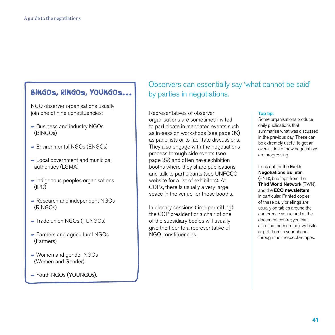## **BINGOS, RINGOS, YOUNGOS...** by parties in negotiations.

NGO observer organisations usually join one of nine constituencies:

- Business and industry NGOs (BINGOs)
- Environmental NGOs (ENGOs)
- Local government and municipal authorities (LGMA)
- Indigenous peoples organisations (IPO)
- Research and independent NGOs (RINGOs)
- Trade union NGOs (TUNGOs)
- Farmers and agricultural NGOs (Farmers)
- Women and gender NGOs (Women and Gender)
- Youth NGOs (YOUNGOs).

# Observers can essentially say 'what cannot be said'

Representatives of observer organisations are sometimes invited to participate in mandated events such as in-session workshops (see page 39) as panellists or to facilitate discussions. They also engage with the negotiations process through side events (see page 39) and often have exhibition booths where they share publications and talk to participants (see UNFCCC website for a list of exhibitors). At COPs, there is usually a very large space in the venue for these booths.

In plenary sessions (time permitting), the COP president or a chair of one of the subsidiary bodies will usually give the floor to a representative of NGO constituencies.

#### Top tip:

Some organisations produce daily publications that summarise what was discussed in the previous day. These can be extremely useful to get an overall idea of how negotiations are progressing.

Look out for the Earth Negotiations Bulletin (ENB), briefings from the Third World Network (TWN), and the ECO newsletters in particular. Printed copies of these daily briefings are usually on tables around the conference venue and at the document centre; you can also find them on their website or get them to your phone through their respective apps.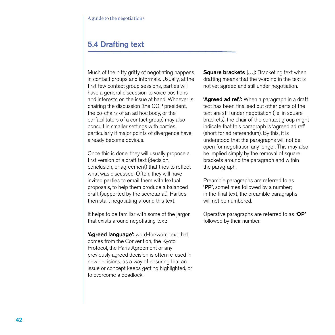## 5.4 Drafting text

Much of the nitty gritty of negotiating happens in contact groups and informals. Usually, at the first few contact group sessions, parties will have a general discussion to voice positions and interests on the issue at hand. Whoever is chairing the discussion (the COP president, the co-chairs of an ad hoc body, or the co-facilitators of a contact group) may also consult in smaller settings with parties, particularly if major points of divergence have already become obvious.

Once this is done, they will usually propose a first version of a draft text (decision, conclusion, or agreement) that tries to reflect what was discussed. Often, they will have invited parties to email them with textual proposals, to help them produce a balanced draft (supported by the secretariat). Parties then start negotiating around this text.

It helps to be familiar with some of the jargon that exists around negotiating text:

'Agreed language': word-for-word text that comes from the Convention, the Kyoto Protocol, the Paris Agreement or any previously agreed decision is often re-used in new decisions, as a way of ensuring that an issue or concept keeps getting highlighted, or to overcome a deadlock.

Square brackets [...]: Bracketing text when drafting means that the wording in the text is not yet agreed and still under negotiation.

'Agreed ad ref.': When a paragraph in a draft text has been finalised but other parts of the text are still under negotiation (i.e. in square brackets), the chair of the contact group might indicate that this paragraph is 'agreed ad ref' (short for ad referendum). By this, it is understood that the paragraphs will not be open for negotiation any longer. This may also be implied simply by the removal of square brackets around the paragraph and within the paragraph.

Preamble paragraphs are referred to as 'PP', sometimes followed by a number; in the final text, the preamble paragraphs will not be numbered.

Operative paragraphs are referred to as 'OP' followed by their number.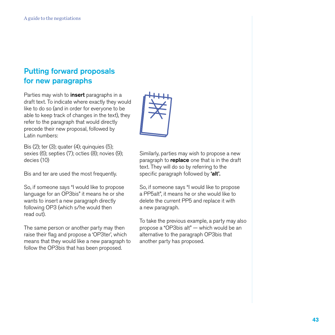## Putting forward proposals for new paragraphs

Parties may wish to **insert** paragraphs in a draft text. To indicate where exactly they would like to do so (and in order for everyone to be able to keep track of changes in the text), they refer to the paragraph that would directly precede their new proposal, followed by Latin numbers:

Bis (2); ter (3); quater (4); quinquies (5); sexies (6); septies (7); octies (8); novies (9); decies (10)

Bis and ter are used the most frequently.

So, if someone says "I would like to propose language for an OP3bis" it means he or she wants to insert a new paragraph directly following OP3 (which s/he would then read out).

The same person or another party may then raise their flag and propose a 'OP3ter', which means that they would like a new paragraph to follow the OP3bis that has been proposed.



Similarly, parties may wish to propose a new paragraph to **replace** one that is in the draft text. They will do so by referring to the specific paragraph followed by 'alt'.

So, if someone says "I would like to propose a PP5alt", it means he or she would like to delete the current PP5 and replace it with a new paragraph.

To take the previous example, a party may also propose a "OP3bis alt" — which would be an alternative to the paragraph OP3bis that another party has proposed.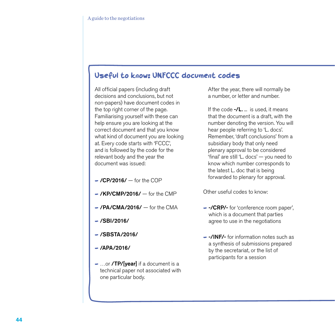## Useful to know: UNFCCC document codes

All official papers (including draft decisions and conclusions, but not non-papers) have document codes in the top right corner of the page. Familiarising yourself with these can help ensure you are looking at the correct document and that you know what kind of document you are looking at. Every code starts with 'FCCC', and is followed by the code for the relevant body and the year the document was issued:

- $-$  /CP/2016/  $-$  for the COP
- $-$  /KP/CMP/2016/ $-$  for the CMP
- $-$  /PA/CMA/2016/  $-$  for the CMA
- $-$  /SBI/2016/
- $-$ /SBSTA/2016/
- $-$ /APA/2016/
- ...or **/TP/[year]** if a document is a technical paper not associated with one particular body.

 After the year, there will normally be a number, or letter and number.

If the code  $-$ /L.  $\ldots$  is used, it means that the document is a draft, with the number denoting the version. You will hear people referring to 'L. docs'. Remember, 'draft conclusions' from a subsidiary body that only need plenary approval to be considered 'final' are still 'L. docs' — you need to know which number corresponds to the latest L. doc that is being forwarded to plenary for approval.

Other useful codes to know:

- -/CRP/- for 'conference room paper', which is a document that parties agree to use in the negotiations
- -/INF/- for information notes such as a synthesis of submissions prepared by the secretariat, or the list of participants for a session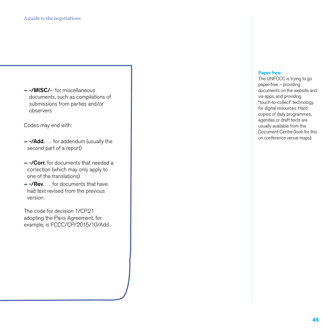- -/MISC/- for miscellaneous documents, such as compilations of submissions from parties and/or observers

Codes may end with:

- -/Add. ... for addendum (usually the second part of a report)
- - / Corr. for documents that needed a correction (which may only apply to one of the translations)
- -/Rev. ... for documents that have had text revised from the previous version

The code for decision 1/CP.21 adopting the Paris Agreement, for example, is FCCC/CP/2015/10/Add.

#### Paper free:

The UNFCCC is trying to go paper-free – providing documents on the website and via apps, and providing "touch-to-collect" technology for digital resources. Hard copies of daily programmes, agendas or draft texts are usually available from the Document Centre (look for this on conference venue maps).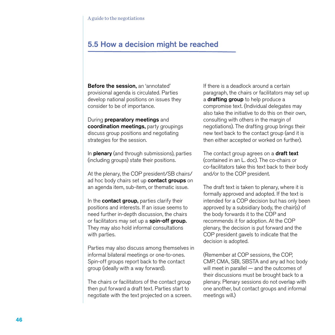## 5.5 How a decision might be reached

Before the session, an 'annotated' provisional agenda is circulated. Parties develop national positions on issues they consider to be of importance.

During preparatory meetings and coordination meetings, party groupings discuss group positions and negotiating strategies for the session.

In **plenary** (and through submissions), parties (including groups) state their positions.

At the plenary, the COP president/SB chairs/ ad hoc body chairs set up contact groups on an agenda item, sub-item, or thematic issue.

In the **contact group**, parties clarify their positions and interests. If an issue seems to need further in-depth discussion, the chairs or facilitators may set up a spin-off group. They may also hold informal consultations with parties.

Parties may also discuss among themselves in informal bilateral meetings or one-to-ones. Spin-off groups report back to the contact group (ideally with a way forward).

The chairs or facilitators of the contact group then put forward a draft text. Parties start to negotiate with the text projected on a screen.

If there is a deadlock around a certain paragraph, the chairs or facilitators may set up a **drafting group** to help produce a compromise text. (Individual delegates may also take the initiative to do this on their own, consulting with others in the margin of negotiations). The drafting group brings their new text back to the contact group (and it is then either accepted or worked on further).

The contact group agrees on a **draft text** (contained in an L. doc). The co-chairs or co-facilitators take this text back to their body and/or to the COP president.

The draft text is taken to plenary, where it is formally approved and adopted. If the text is intended for a COP decision but has only been approved by a subsidiary body, the chair(s) of the body forwards it to the COP and recommends it for adoption. At the COP plenary, the decision is put forward and the COP president gavels to indicate that the decision is adopted.

(Remember at COP sessions, the COP, CMP, CMA, SBI, SBSTA and any ad hoc body will meet in parallel — and the outcomes of their discussions must be brought back to a plenary. Plenary sessions do not overlap with one another, but contact groups and informal meetings will.)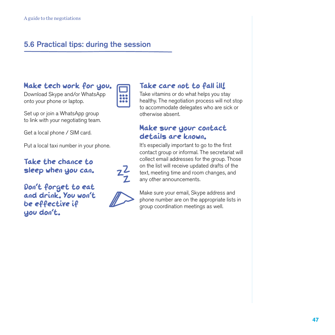## 5.6 Practical tips: during the session

## Make tech work for you.

Download Skype and/or WhatsApp onto your phone or laptop.

Set up or join a WhatsApp group to link with your negotiating team.

Get a local phone / SIM card.

Put a local taxi number in your phone.

Take the chance to sleep when you can.

Don't forget to eat and drink. You won't be effective if you don't.



 $2\frac{2}{2}$ 

### Take care not to fall ill!

Take vitamins or do what helps you stay healthy. The negotiation process will not stop to accommodate delegates who are sick or otherwise absent.

### Make sure your contact details are known.

It's especially important to go to the first contact group or informal. The secretariat will collect email addresses for the group. Those on the list will receive updated drafts of the text, meeting time and room changes, and any other announcements.

Make sure your email, Skype address and phone number are on the appropriate lists in group coordination meetings as well.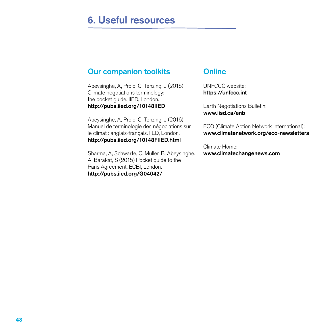## 6. Useful resources

## Our companion toolkits

Abeysinghe, A, Prolo, C, Tenzing, J (2015) Climate negotiations terminology: the pocket guide. IIED, London. http://pubs.iied.org/10148IIED

Abeysinghe, A, Prolo, C, Tenzing, J (2016) Manuel de terminologie des négociations sur le climat : anglais-français. IIED, London. http://pubs.iied.org/10148FIIED.html

Sharma, A, Schwarte, C, Müller, B, Abeysinghe, A, Barakat, S (2015) Pocket guide to the Paris Agreement. ECBI, London. http://pubs.iied.org/G04042/

## **Online**

UNFCCC website: https://unfccc.int

Earth Negotiations Bulletin: www.iisd.ca/enb

ECO (Climate Action Network International): www.climatenetwork.org/eco-newsletters

Climate Home: www.climatechangenews.com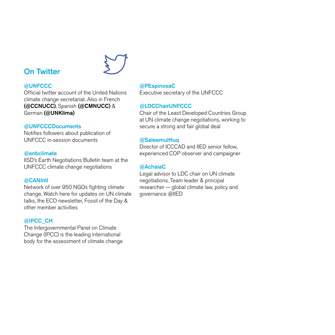## **On Twitter**



Official twitter account of the United Nations climate change secretariat. Also in French (@CCNUCC), Spanish (@CMNUCC) & German (@UNKlima)

#### @UNFCCCDocuments

Notifies followers about publication of UNFCCC in-session documents

#### @enbclimate

IISD's Earth Negotiations Bulletin team at the UNFCCC climate change negotiations

#### @CANIntl

Network of over 950 NGOs fighting climate change. Watch here for updates on UN climate talks, the ECO newsletter, Fossil of the Day & other member activities

#### @IPCC\_CH

The Intergovernmental Panel on Climate Change (IPCC) is the leading international body for the assessment of climate change

#### @PEspinosaC

Executive secretary of the UNFCCC

#### @LDCChairUNFCCC

Chair of the Least Developed Countries Group at UN climate change negotiations, working to secure a strong and fair global deal

#### @SaleemulHuq

Director of ICCCAD and IIED senior fellow, experienced COP observer and campaigner

#### @AchalaC

Legal advisor to LDC chair on UN climate negotiations. Team leader & principal researcher — global climate law, policy and governance @IIED